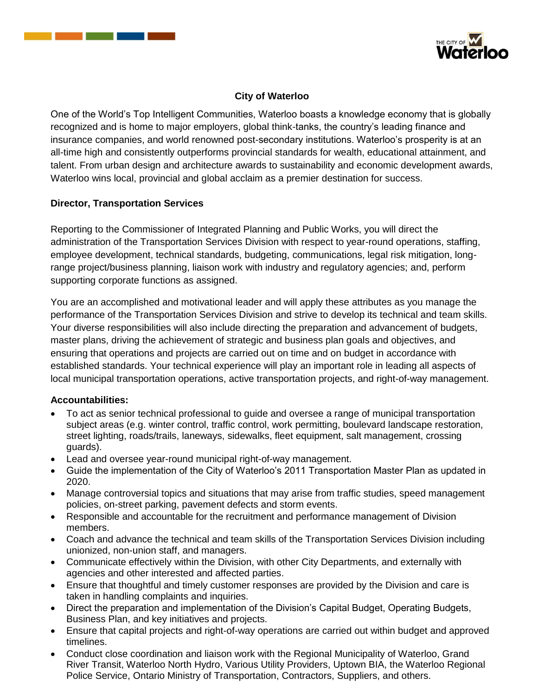



## **City of Waterloo**

One of the World's Top Intelligent Communities, Waterloo boasts a knowledge economy that is globally recognized and is home to major employers, global think-tanks, the country's leading finance and insurance companies, and world renowned post-secondary institutions. Waterloo's prosperity is at an all-time high and consistently outperforms provincial standards for wealth, educational attainment, and talent. From urban design and architecture awards to sustainability and economic development awards, Waterloo wins local, provincial and global acclaim as a premier destination for success.

## **Director, Transportation Services**

Reporting to the Commissioner of Integrated Planning and Public Works, you will direct the administration of the Transportation Services Division with respect to year-round operations, staffing, employee development, technical standards, budgeting, communications, legal risk mitigation, longrange project/business planning, liaison work with industry and regulatory agencies; and, perform supporting corporate functions as assigned.

You are an accomplished and motivational leader and will apply these attributes as you manage the performance of the Transportation Services Division and strive to develop its technical and team skills. Your diverse responsibilities will also include directing the preparation and advancement of budgets, master plans, driving the achievement of strategic and business plan goals and objectives, and ensuring that operations and projects are carried out on time and on budget in accordance with established standards. Your technical experience will play an important role in leading all aspects of local municipal transportation operations, active transportation projects, and right-of-way management.

#### **Accountabilities:**

- To act as senior technical professional to guide and oversee a range of municipal transportation subject areas (e.g. winter control, traffic control, work permitting, boulevard landscape restoration, street lighting, roads/trails, laneways, sidewalks, fleet equipment, salt management, crossing guards).
- Lead and oversee year-round municipal right-of-way management.
- Guide the implementation of the City of Waterloo's 2011 Transportation Master Plan as updated in 2020.
- Manage controversial topics and situations that may arise from traffic studies, speed management policies, on-street parking, pavement defects and storm events.
- Responsible and accountable for the recruitment and performance management of Division members.
- Coach and advance the technical and team skills of the Transportation Services Division including unionized, non-union staff, and managers.
- Communicate effectively within the Division, with other City Departments, and externally with agencies and other interested and affected parties.
- Ensure that thoughtful and timely customer responses are provided by the Division and care is taken in handling complaints and inquiries.
- Direct the preparation and implementation of the Division's Capital Budget, Operating Budgets, Business Plan, and key initiatives and projects.
- Ensure that capital projects and right-of-way operations are carried out within budget and approved timelines.
- Conduct close coordination and liaison work with the Regional Municipality of Waterloo, Grand River Transit, Waterloo North Hydro, Various Utility Providers, Uptown BIA, the Waterloo Regional Police Service, Ontario Ministry of Transportation, Contractors, Suppliers, and others.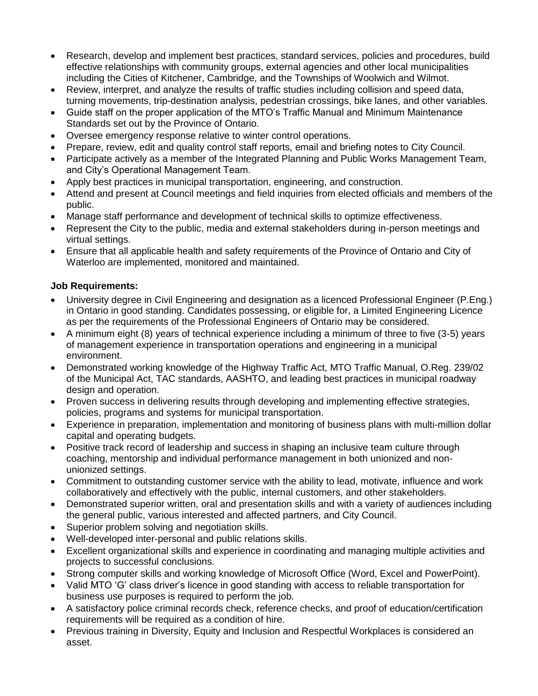- Research, develop and implement best practices, standard services, policies and procedures, build effective relationships with community groups, external agencies and other local municipalities including the Cities of Kitchener, Cambridge, and the Townships of Woolwich and Wilmot.
- Review, interpret, and analyze the results of traffic studies including collision and speed data, turning movements, trip-destination analysis, pedestrian crossings, bike lanes, and other variables.
- Guide staff on the proper application of the MTO's Traffic Manual and Minimum Maintenance Standards set out by the Province of Ontario.
- Oversee emergency response relative to winter control operations.
- Prepare, review, edit and quality control staff reports, email and briefing notes to City Council.
- Participate actively as a member of the Integrated Planning and Public Works Management Team, and City's Operational Management Team.
- Apply best practices in municipal transportation, engineering, and construction.
- Attend and present at Council meetings and field inquiries from elected officials and members of the public.
- Manage staff performance and development of technical skills to optimize effectiveness.
- Represent the City to the public, media and external stakeholders during in-person meetings and virtual settings.
- Ensure that all applicable health and safety requirements of the Province of Ontario and City of Waterloo are implemented, monitored and maintained.

## **Job Requirements:**

- University degree in Civil Engineering and designation as a licenced Professional Engineer (P.Eng.) in Ontario in good standing. Candidates possessing, or eligible for, a Limited Engineering Licence as per the requirements of the Professional Engineers of Ontario may be considered.
- A minimum eight (8) years of technical experience including a minimum of three to five (3-5) years of management experience in transportation operations and engineering in a municipal environment.
- Demonstrated working knowledge of the Highway Traffic Act, MTO Traffic Manual, O.Reg. 239/02 of the Municipal Act, TAC standards, AASHTO, and leading best practices in municipal roadway design and operation.
- Proven success in delivering results through developing and implementing effective strategies, policies, programs and systems for municipal transportation.
- Experience in preparation, implementation and monitoring of business plans with multi-million dollar capital and operating budgets.
- Positive track record of leadership and success in shaping an inclusive team culture through coaching, mentorship and individual performance management in both unionized and nonunionized settings.
- Commitment to outstanding customer service with the ability to lead, motivate, influence and work collaboratively and effectively with the public, internal customers, and other stakeholders.
- Demonstrated superior written, oral and presentation skills and with a variety of audiences including the general public, various interested and affected partners, and City Council.
- Superior problem solving and negotiation skills.
- Well-developed inter-personal and public relations skills.
- Excellent organizational skills and experience in coordinating and managing multiple activities and projects to successful conclusions.
- Strong computer skills and working knowledge of Microsoft Office (Word, Excel and PowerPoint).
- Valid MTO 'G' class driver's licence in good standing with access to reliable transportation for business use purposes is required to perform the job.
- A satisfactory police criminal records check, reference checks, and proof of education/certification requirements will be required as a condition of hire.
- Previous training in Diversity, Equity and Inclusion and Respectful Workplaces is considered an asset.